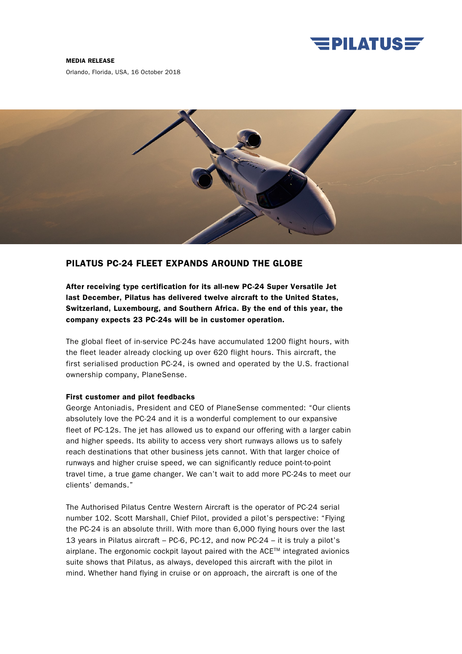

#### MEDIA RELEASE

Orlando, Florida, USA, 16 October 2018



# PILATUS PC-24 FLEET EXPANDS AROUND THE GLOBE

After receiving type certification for its all-new PC-24 Super Versatile Jet last December, Pilatus has delivered twelve aircraft to the United States, Switzerland, Luxembourg, and Southern Africa. By the end of this year, the company expects 23 PC-24s will be in customer operation.

The global fleet of in-service PC-24s have accumulated 1200 flight hours, with the fleet leader already clocking up over 620 flight hours. This aircraft, the first serialised production PC-24, is owned and operated by the U.S. fractional ownership company, PlaneSense.

#### First customer and pilot feedbacks

George Antoniadis, President and CEO of PlaneSense commented: "Our clients absolutely love the PC-24 and it is a wonderful complement to our expansive fleet of PC-12s. The jet has allowed us to expand our offering with a larger cabin and higher speeds. Its ability to access very short runways allows us to safely reach destinations that other business jets cannot. With that larger choice of runways and higher cruise speed, we can significantly reduce point-to-point travel time, a true game changer. We can't wait to add more PC-24s to meet our clients' demands."

The Authorised Pilatus Centre Western Aircraft is the operator of PC-24 serial number 102. Scott Marshall, Chief Pilot, provided a pilot's perspective: "Flying the PC-24 is an absolute thrill. With more than 6,000 flying hours over the last 13 years in Pilatus aircraft – PC-6, PC-12, and now PC-24 – it is truly a pilot's airplane. The ergonomic cockpit layout paired with the ACE™ integrated avionics suite shows that Pilatus, as always, developed this aircraft with the pilot in mind. Whether hand flying in cruise or on approach, the aircraft is one of the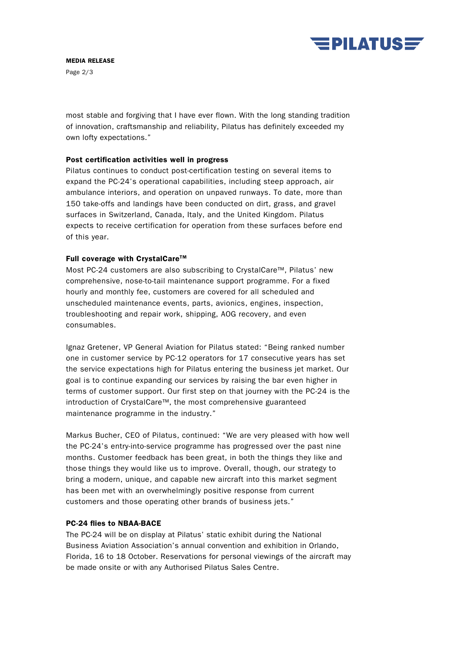

# MEDIA RELEASE

Page 2/3

most stable and forgiving that I have ever flown. With the long standing tradition of innovation, craftsmanship and reliability, Pilatus has definitely exceeded my own lofty expectations."

### Post certification activities well in progress

Pilatus continues to conduct post-certification testing on several items to expand the PC-24's operational capabilities, including steep approach, air ambulance interiors, and operation on unpaved runways. To date, more than 150 take-offs and landings have been conducted on dirt, grass, and gravel surfaces in Switzerland, Canada, Italy, and the United Kingdom. Pilatus expects to receive certification for operation from these surfaces before end of this year.

# Full coverage with CrystalCare<sup>™</sup>

Most PC-24 customers are also subscribing to CrystalCare™, Pilatus' new comprehensive, nose-to-tail maintenance support programme. For a fixed hourly and monthly fee, customers are covered for all scheduled and unscheduled maintenance events, parts, avionics, engines, inspection, troubleshooting and repair work, shipping, AOG recovery, and even consumables.

Ignaz Gretener, VP General Aviation for Pilatus stated: "Being ranked number one in customer service by PC-12 operators for 17 consecutive years has set the service expectations high for Pilatus entering the business jet market. Our goal is to continue expanding our services by raising the bar even higher in terms of customer support. Our first step on that journey with the PC-24 is the introduction of CrystalCare™, the most comprehensive guaranteed maintenance programme in the industry."

Markus Bucher, CEO of Pilatus, continued: "We are very pleased with how well the PC-24's entry-into-service programme has progressed over the past nine months. Customer feedback has been great, in both the things they like and those things they would like us to improve. Overall, though, our strategy to bring a modern, unique, and capable new aircraft into this market segment has been met with an overwhelmingly positive response from current customers and those operating other brands of business jets."

# PC-24 flies to NBAA-BACE

The PC-24 will be on display at Pilatus' static exhibit during the National Business Aviation Association's annual convention and exhibition in Orlando, Florida, 16 to 18 October. Reservations for personal viewings of the aircraft may be made onsite or with any Authorised Pilatus Sales Centre.